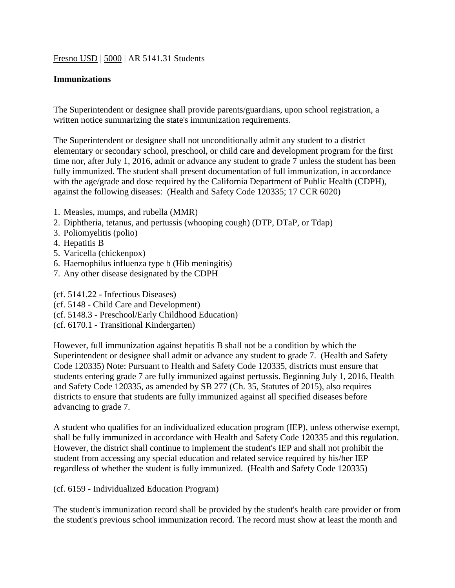# Fresno USD | 5000 | AR 5141.31 Students

# **Immunizations**

The Superintendent or designee shall provide parents/guardians, upon school registration, a written notice summarizing the state's immunization requirements.

The Superintendent or designee shall not unconditionally admit any student to a district elementary or secondary school, preschool, or child care and development program for the first time nor, after July 1, 2016, admit or advance any student to grade 7 unless the student has been fully immunized. The student shall present documentation of full immunization, in accordance with the age/grade and dose required by the California Department of Public Health (CDPH), against the following diseases: (Health and Safety Code 120335; 17 CCR 6020)

- 1. Measles, mumps, and rubella (MMR)
- 2. Diphtheria, tetanus, and pertussis (whooping cough) (DTP, DTaP, or Tdap)
- 3. Poliomyelitis (polio)
- 4. Hepatitis B
- 5. Varicella (chickenpox)
- 6. Haemophilus influenza type b (Hib meningitis)
- 7. Any other disease designated by the CDPH
- (cf. 5141.22 Infectious Diseases)
- (cf. 5148 Child Care and Development)
- (cf. 5148.3 Preschool/Early Childhood Education)
- (cf. 6170.1 Transitional Kindergarten)

However, full immunization against hepatitis B shall not be a condition by which the Superintendent or designee shall admit or advance any student to grade 7. (Health and Safety Code 120335) Note: Pursuant to Health and Safety Code 120335, districts must ensure that students entering grade 7 are fully immunized against pertussis. Beginning July 1, 2016, Health and Safety Code 120335, as amended by SB 277 (Ch. 35, Statutes of 2015), also requires districts to ensure that students are fully immunized against all specified diseases before advancing to grade 7.

A student who qualifies for an individualized education program (IEP), unless otherwise exempt, shall be fully immunized in accordance with Health and Safety Code 120335 and this regulation. However, the district shall continue to implement the student's IEP and shall not prohibit the student from accessing any special education and related service required by his/her IEP regardless of whether the student is fully immunized. (Health and Safety Code 120335)

(cf. 6159 - Individualized Education Program)

The student's immunization record shall be provided by the student's health care provider or from the student's previous school immunization record. The record must show at least the month and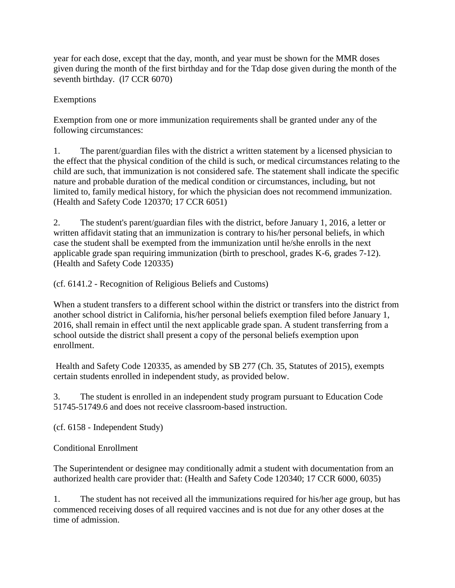year for each dose, except that the day, month, and year must be shown for the MMR doses given during the month of the first birthday and for the Tdap dose given during the month of the seventh birthday. (l7 CCR 6070)

# Exemptions

Exemption from one or more immunization requirements shall be granted under any of the following circumstances:

1. The parent/guardian files with the district a written statement by a licensed physician to the effect that the physical condition of the child is such, or medical circumstances relating to the child are such, that immunization is not considered safe. The statement shall indicate the specific nature and probable duration of the medical condition or circumstances, including, but not limited to, family medical history, for which the physician does not recommend immunization. (Health and Safety Code 120370; 17 CCR 6051)

2. The student's parent/guardian files with the district, before January 1, 2016, a letter or written affidavit stating that an immunization is contrary to his/her personal beliefs, in which case the student shall be exempted from the immunization until he/she enrolls in the next applicable grade span requiring immunization (birth to preschool, grades K-6, grades 7-12). (Health and Safety Code 120335)

(cf. 6141.2 - Recognition of Religious Beliefs and Customs)

When a student transfers to a different school within the district or transfers into the district from another school district in California, his/her personal beliefs exemption filed before January 1, 2016, shall remain in effect until the next applicable grade span. A student transferring from a school outside the district shall present a copy of the personal beliefs exemption upon enrollment.

Health and Safety Code 120335, as amended by SB 277 (Ch. 35, Statutes of 2015), exempts certain students enrolled in independent study, as provided below.

3. The student is enrolled in an independent study program pursuant to Education Code 51745-51749.6 and does not receive classroom-based instruction.

(cf. 6158 - Independent Study)

Conditional Enrollment

The Superintendent or designee may conditionally admit a student with documentation from an authorized health care provider that: (Health and Safety Code 120340; 17 CCR 6000, 6035)

1. The student has not received all the immunizations required for his/her age group, but has commenced receiving doses of all required vaccines and is not due for any other doses at the time of admission.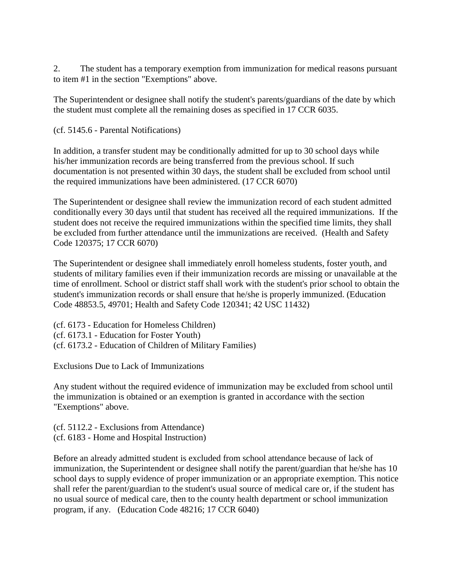2. The student has a temporary exemption from immunization for medical reasons pursuant to item #1 in the section "Exemptions" above.

The Superintendent or designee shall notify the student's parents/guardians of the date by which the student must complete all the remaining doses as specified in 17 CCR 6035.

(cf. 5145.6 - Parental Notifications)

In addition, a transfer student may be conditionally admitted for up to 30 school days while his/her immunization records are being transferred from the previous school. If such documentation is not presented within 30 days, the student shall be excluded from school until the required immunizations have been administered. (17 CCR 6070)

The Superintendent or designee shall review the immunization record of each student admitted conditionally every 30 days until that student has received all the required immunizations. If the student does not receive the required immunizations within the specified time limits, they shall be excluded from further attendance until the immunizations are received. (Health and Safety Code 120375; 17 CCR 6070)

The Superintendent or designee shall immediately enroll homeless students, foster youth, and students of military families even if their immunization records are missing or unavailable at the time of enrollment. School or district staff shall work with the student's prior school to obtain the student's immunization records or shall ensure that he/she is properly immunized. (Education Code 48853.5, 49701; Health and Safety Code 120341; 42 USC 11432)

(cf. 6173 - Education for Homeless Children) (cf. 6173.1 - Education for Foster Youth) (cf. 6173.2 - Education of Children of Military Families)

Exclusions Due to Lack of Immunizations

Any student without the required evidence of immunization may be excluded from school until the immunization is obtained or an exemption is granted in accordance with the section "Exemptions" above.

(cf. 5112.2 - Exclusions from Attendance) (cf. 6183 - Home and Hospital Instruction)

Before an already admitted student is excluded from school attendance because of lack of immunization, the Superintendent or designee shall notify the parent/guardian that he/she has 10 school days to supply evidence of proper immunization or an appropriate exemption. This notice shall refer the parent/guardian to the student's usual source of medical care or, if the student has no usual source of medical care, then to the county health department or school immunization program, if any. (Education Code 48216; 17 CCR 6040)